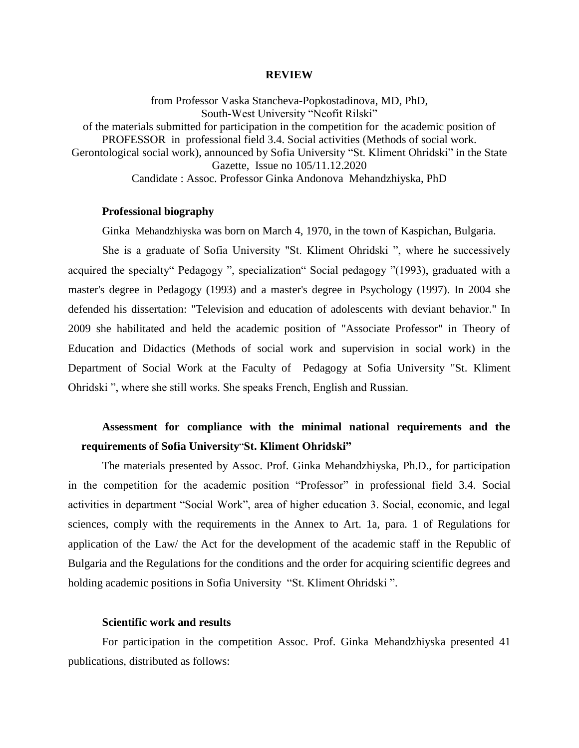#### **REVIEW**

from Professor Vaska Stancheva-Popkostadinova, MD, PhD, South-West University "Neofit Rilski" of the materials submitted for participation in the competition for the academic position of PROFESSOR in professional field 3.4. Social activities (Methods of social work. Gerontological social work), announced by Sofia University "St. Kliment Ohridski" in the State Gazette, Issue no 105/11.12.2020 Candidate : Assoc. Professor Ginka Andonova Mehandzhiyska, PhD

# **Professional biography**

Ginka Mehandzhiyska was born on March 4, 1970, in the town of Kaspichan, Bulgaria.

She is a graduate of Sofia University "St. Kliment Ohridski ", where he successively acquired the specialty" Pedagogy ", specialization" Social pedagogy "(1993), graduated with a master's degree in Pedagogy (1993) and a master's degree in Psychology (1997). In 2004 she defended his dissertation: "Television and education of adolescents with deviant behavior." In 2009 she habilitated and held the academic position of "Associate Professor" in Theory of Education and Didactics (Methods of social work and supervision in social work) in the Department of Social Work at the Faculty of Pedagogy at Sofia University "St. Kliment Ohridski ", where she still works. She speaks French, English and Russian.

# **Assessment for compliance with the minimal national requirements and the requirements of Sofia University**"**St. Kliment Ohridski"**

The materials presented by Assoc. Prof. Ginka Mehandzhiyska, Ph.D., for participation in the competition for the academic position "Professor" in professional field 3.4. Social activities in department "Social Work", area of higher education 3. Social, economic, and legal sciences, comply with the requirements in the Annex to Art. 1a, para. 1 of Regulations for application of the Law/ the Act for the development of the academic staff in the Republic of Bulgaria and the Regulations for the conditions and the order for acquiring scientific degrees and holding academic positions in Sofia University "St. Kliment Ohridski ".

#### **Scientific work and results**

For participation in the competition Assoc. Prof. Ginka Mehandzhiyska presented 41 publications, distributed as follows: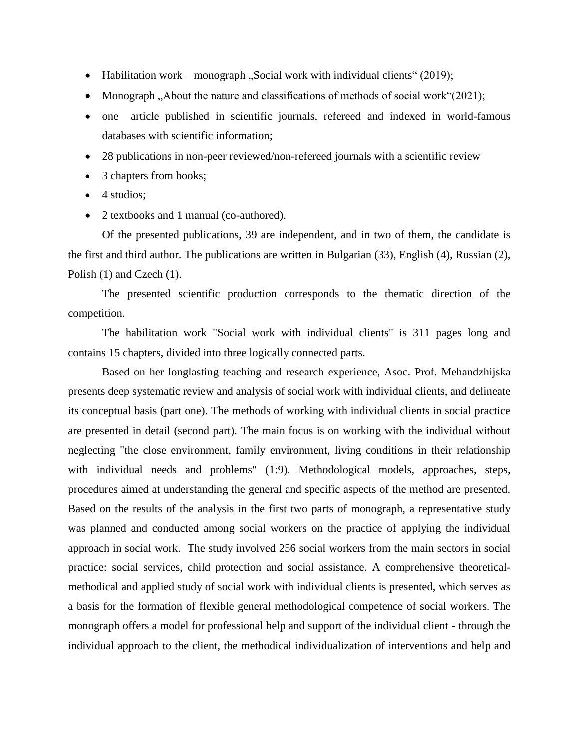- Habilitation work monograph "Social work with individual clients" (2019);
- Monograph , About the nature and classifications of methods of social work  $(2021)$ ;
- one article published in scientific journals, refereed and indexed in world-famous databases with scientific information;
- 28 publications in non-peer reviewed/non-refereed journals with a scientific review
- 3 chapters from books;
- $\bullet$  4 studios;
- 2 textbooks and 1 manual (co-authored).

Of the presented publications, 39 are independent, and in two of them, the candidate is the first and third author. The publications are written in Bulgarian (33), English (4), Russian (2), Polish (1) and Czech (1).

The presented scientific production corresponds to the thematic direction of the competition.

The habilitation work "Social work with individual clients" is 311 pages long and contains 15 chapters, divided into three logically connected parts.

Based on her longlasting teaching and research experience, Asoc. Prof. Mehandzhijska presents deep systematic review and analysis of social work with individual clients, and delineate its conceptual basis (part one). The methods of working with individual clients in social practice are presented in detail (second part). The main focus is on working with the individual without neglecting "the close environment, family environment, living conditions in their relationship with individual needs and problems" (1:9). Methodological models, approaches, steps, procedures aimed at understanding the general and specific aspects of the method are presented. Based on the results of the analysis in the first two parts of monograph, a representative study was planned and conducted among social workers on the practice of applying the individual approach in social work. The study involved 256 social workers from the main sectors in social practice: social services, child protection and social assistance. A comprehensive theoreticalmethodical and applied study of social work with individual clients is presented, which serves as a basis for the formation of flexible general methodological competence of social workers. The monograph offers a model for professional help and support of the individual client - through the individual approach to the client, the methodical individualization of interventions and help and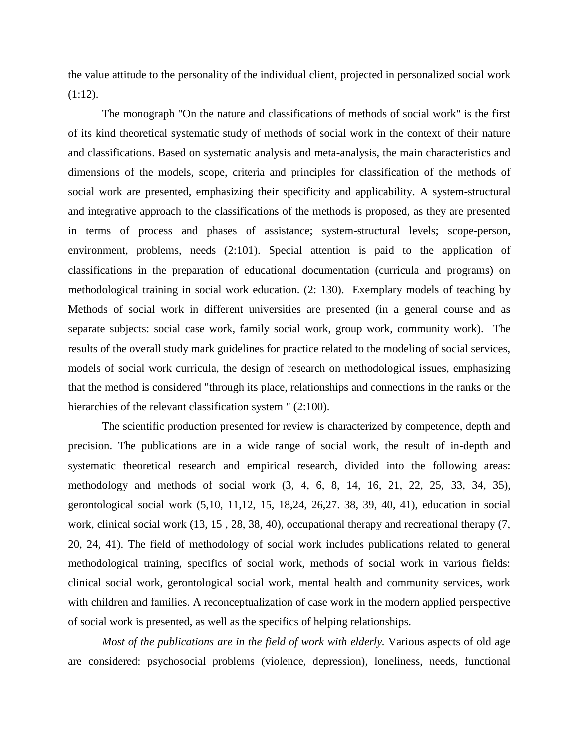the value attitude to the personality of the individual client, projected in personalized social work  $(1:12)$ .

The monograph "On the nature and classifications of methods of social work" is the first of its kind theoretical systematic study of methods of social work in the context of their nature and classifications. Based on systematic analysis and meta-analysis, the main characteristics and dimensions of the models, scope, criteria and principles for classification of the methods of social work are presented, emphasizing their specificity and applicability. A system-structural and integrative approach to the classifications of the methods is proposed, as they are presented in terms of process and phases of assistance; system-structural levels; scope-person, environment, problems, needs (2:101). Special attention is paid to the application of classifications in the preparation of educational documentation (curricula and programs) on methodological training in social work education. (2: 130). Exemplary models of teaching by Methods of social work in different universities are presented (in a general course and as separate subjects: social case work, family social work, group work, community work). The results of the overall study mark guidelines for practice related to the modeling of social services, models of social work curricula, the design of research on methodological issues, emphasizing that the method is considered "through its place, relationships and connections in the ranks or the hierarchies of the relevant classification system "  $(2:100)$ .

The scientific production presented for review is characterized by competence, depth and precision. The publications are in a wide range of social work, the result of in-depth and systematic theoretical research and empirical research, divided into the following areas: methodology and methods of social work (3, 4, 6, 8, 14, 16, 21, 22, 25, 33, 34, 35), gerontological social work (5,10, 11,12, 15, 18,24, 26,27. 38, 39, 40, 41), education in social work, clinical social work (13, 15 , 28, 38, 40), occupational therapy and recreational therapy (7, 20, 24, 41). The field of methodology of social work includes publications related to general methodological training, specifics of social work, methods of social work in various fields: clinical social work, gerontological social work, mental health and community services, work with children and families. A reconceptualization of case work in the modern applied perspective of social work is presented, as well as the specifics of helping relationships.

*Most of the publications are in the field of work with elderly.* Various aspects of old age are considered: psychosocial problems (violence, depression), loneliness, needs, functional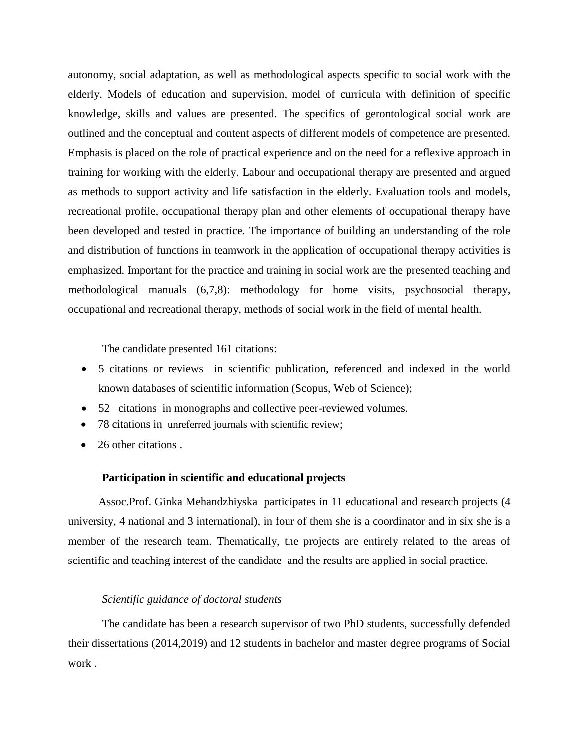autonomy, social adaptation, as well as methodological aspects specific to social work with the elderly. Models of education and supervision, model of curricula with definition of specific knowledge, skills and values are presented. The specifics of gerontological social work are outlined and the conceptual and content aspects of different models of competence are presented. Emphasis is placed on the role of practical experience and on the need for a reflexive approach in training for working with the elderly. Labour and occupational therapy are presented and argued as methods to support activity and life satisfaction in the elderly. Evaluation tools and models, recreational profile, occupational therapy plan and other elements of occupational therapy have been developed and tested in practice. The importance of building an understanding of the role and distribution of functions in teamwork in the application of occupational therapy activities is emphasized. Important for the practice and training in social work are the presented teaching and methodological manuals (6,7,8): methodology for home visits, psychosocial therapy, occupational and recreational therapy, methods of social work in the field of mental health.

The candidate presented 161 citations:

- 5 citations or reviews in scientific publication, referenced and indexed in the world known databases of scientific information (Scopus, Web of Science);
- 52 citations in monographs and collective peer-reviewed volumes.
- 78 citations in unreferred journals with scientific review;
- 26 other citations.

## **Participation in scientific and educational projects**

Assoc.Prof. Ginka Mehandzhiyska participates in 11 educational and research projects (4 university, 4 national and 3 international), in four of them she is a coordinator and in six she is a member of the research team. Thematically, the projects are entirely related to the areas of scientific and teaching interest of the candidate and the results are applied in social practice.

# *Scientific guidance of doctoral students*

The candidate has been a research supervisor of two PhD students, successfully defended their dissertations (2014,2019) and 12 students in bachelor and master degree programs of Social work .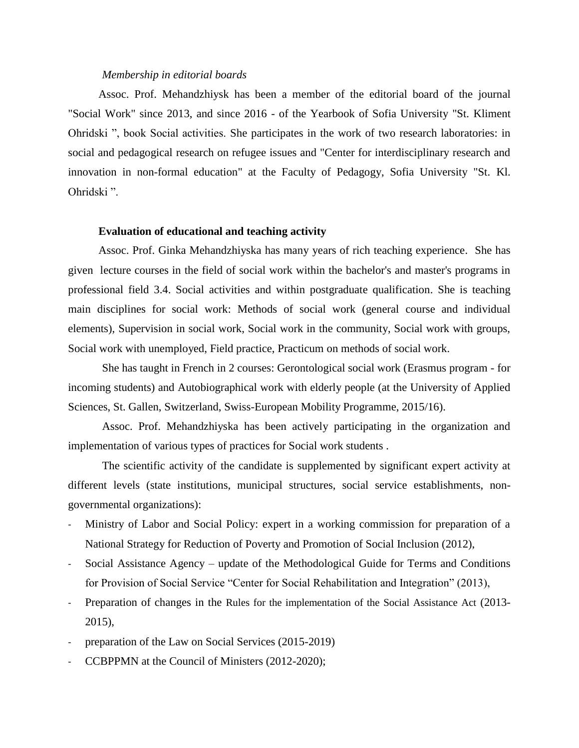#### *Membership in editorial boards*

Assoc. Prof. Mehandzhiysk has been a member of the editorial board of the journal "Social Work" since 2013, and since 2016 - of the Yearbook of Sofia University "St. Kliment Ohridski ", book Social activities. She participates in the work of two research laboratories: in social and pedagogical research on refugee issues and "Center for interdisciplinary research and innovation in non-formal education" at the Faculty of Pedagogy, Sofia University "St. Kl. Ohridski ".

### **Evaluation of educational and teaching activity**

Assoc. Prof. Ginka Mehandzhiyska has many years of rich teaching experience. She has given lecture courses in the field of social work within the bachelor's and master's programs in professional field 3.4. Social activities and within postgraduate qualification. She is teaching main disciplines for social work: Methods of social work (general course and individual elements), Supervision in social work, Social work in the community, Social work with groups, Social work with unemployed, Field practice, Practicum on methods of social work.

She has taught in French in 2 courses: Gerontological social work (Erasmus program - for incoming students) and Autobiographical work with elderly people (at the University of Applied Sciences, St. Gallen, Switzerland, Swiss-European Mobility Programme, 2015/16).

Assoc. Prof. Mehandzhiyska has been actively participating in the organization and implementation of various types of practices for Social work students .

The scientific activity of the candidate is supplemented by significant expert activity at different levels (state institutions, municipal structures, social service establishments, nongovernmental organizations):

- Ministry of Labor and Social Policy: expert in a working commission for preparation of a National Strategy for Reduction of Poverty and Promotion of Social Inclusion (2012),
- Social Assistance Agency update of the Methodological Guide for Terms and Conditions for Provision of Social Service "Center for Social Rehabilitation and Integration" (2013),
- Preparation of changes in the Rules for the implementation of the Social Assistance Act (2013-2015),
- preparation of the Law on Social Services (2015-2019)
- CCBPPMN at the Council of Ministers (2012-2020);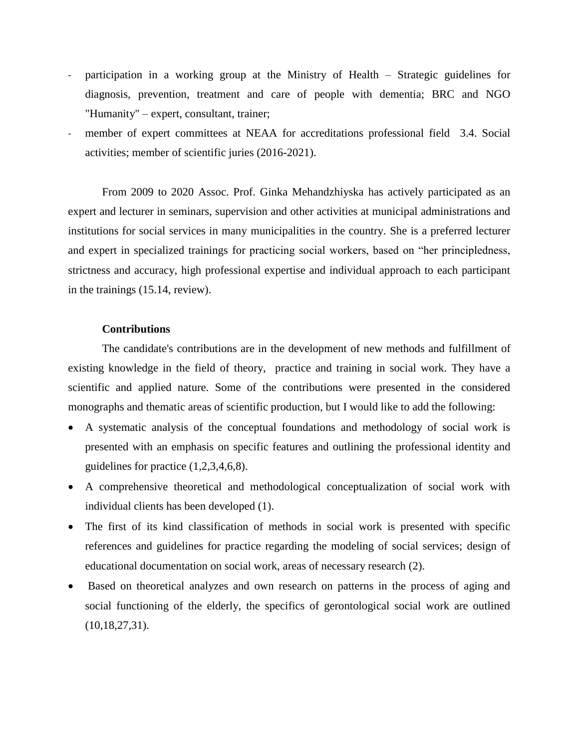- participation in a working group at the Ministry of Health Strategic guidelines for diagnosis, prevention, treatment and care of people with dementia; BRC and NGO "Humanity" – expert, consultant, trainer;
- member of expert committees at NEAA for accreditations professional field 3.4. Social activities; member of scientific juries (2016-2021).

From 2009 to 2020 Assoc. Prof. Ginka Mehandzhiyska has actively participated as an expert and lecturer in seminars, supervision and other activities at municipal administrations and institutions for social services in many municipalities in the country. She is a preferred lecturer and expert in specialized trainings for practicing social workers, based on "her principledness, strictness and accuracy, high professional expertise and individual approach to each participant in the trainings (15.14, review).

# **Contributions**

The candidate's contributions are in the development of new methods and fulfillment of existing knowledge in the field of theory, practice and training in social work. They have a scientific and applied nature. Some of the contributions were presented in the considered monographs and thematic areas of scientific production, but I would like to add the following:

- A systematic analysis of the conceptual foundations and methodology of social work is presented with an emphasis on specific features and outlining the professional identity and guidelines for practice (1,2,3,4,6,8).
- A comprehensive theoretical and methodological conceptualization of social work with individual clients has been developed (1).
- The first of its kind classification of methods in social work is presented with specific references and guidelines for practice regarding the modeling of social services; design of educational documentation on social work, areas of necessary research (2).
- Based on theoretical analyzes and own research on patterns in the process of aging and social functioning of the elderly, the specifics of gerontological social work are outlined (10,18,27,31).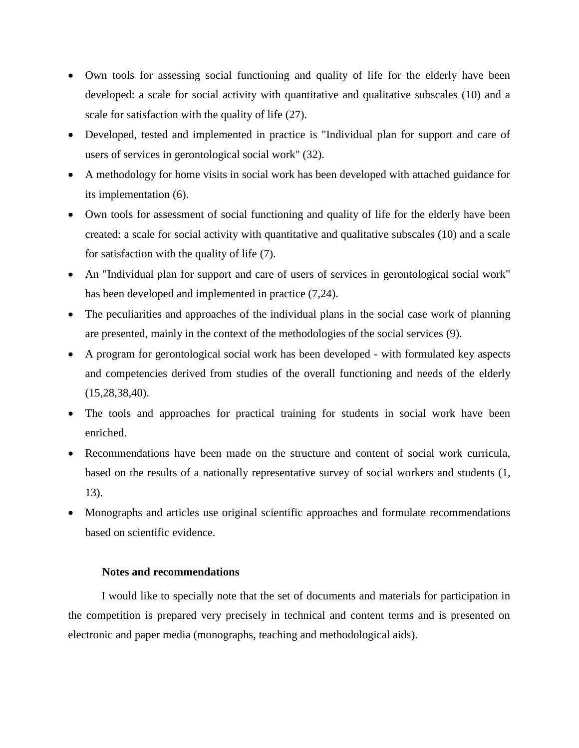- Own tools for assessing social functioning and quality of life for the elderly have been developed: a scale for social activity with quantitative and qualitative subscales (10) and a scale for satisfaction with the quality of life (27).
- Developed, tested and implemented in practice is "Individual plan for support and care of users of services in gerontological social work" (32).
- A methodology for home visits in social work has been developed with attached guidance for its implementation (6).
- Own tools for assessment of social functioning and quality of life for the elderly have been created: a scale for social activity with quantitative and qualitative subscales (10) and a scale for satisfaction with the quality of life (7).
- An "Individual plan for support and care of users of services in gerontological social work" has been developed and implemented in practice  $(7,24)$ .
- The peculiarities and approaches of the individual plans in the social case work of planning are presented, mainly in the context of the methodologies of the social services (9).
- A program for gerontological social work has been developed with formulated key aspects and competencies derived from studies of the overall functioning and needs of the elderly (15,28,38,40).
- The tools and approaches for practical training for students in social work have been enriched.
- Recommendations have been made on the structure and content of social work curricula, based on the results of a nationally representative survey of social workers and students (1, 13).
- Monographs and articles use original scientific approaches and formulate recommendations based on scientific evidence.

# **Notes and recommendations**

I would like to specially note that the set of documents and materials for participation in the competition is prepared very precisely in technical and content terms and is presented on electronic and paper media (monographs, teaching and methodological aids).